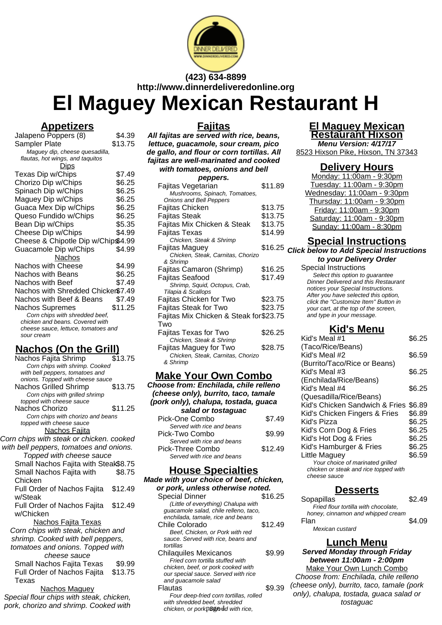

**(423) 634-8899 http://www.dinnerdeliveredonline.org**

# **El Maguey Mexican Restaurant H**

## **Appetizers**

| $\overline{\phantom{a}}$<br>j                                          |         |
|------------------------------------------------------------------------|---------|
| Jalapeno Poppers (8)                                                   | \$4.39  |
| Sampler Plate                                                          | \$13.75 |
| Maguey dip, cheese quesadilla,                                         |         |
| flautas, hot wings, and taguitos                                       |         |
| <u>Dips</u>                                                            |         |
| Texas Dip w/Chips                                                      | \$7.49  |
| Chorizo Dip w/Chips                                                    | \$6.25  |
| Spinach Dip w/Chips                                                    | \$6.25  |
| Maguey Dip w/Chips                                                     | \$6.25  |
| Guaca Mex Dip w/Chips                                                  | \$6.25  |
| Queso Fundido w/Chips                                                  | \$6.25  |
| Bean Dip w/Chips                                                       | \$5.35  |
| Cheese Dip w/Chips                                                     | \$4.99  |
| Cheese & Chipotle Dip w/Chip\$4.99                                     |         |
| Guacamole Dip w/Chips                                                  | \$4.99  |
| Nachos                                                                 |         |
| Nachos with Cheese                                                     | \$4.99  |
| <b>Nachos with Beans</b>                                               | \$6.25  |
| Nachos with Beef                                                       | \$7.49  |
|                                                                        |         |
| Nachos with Shredded Chicker\$7.49                                     |         |
| Nachos with Beef & Beans                                               | \$7.49  |
| Nachos Supremes                                                        | \$11.25 |
| Corn chips with shredded beef,                                         |         |
| chicken and beans. Covered with<br>cheese sauce, lettuce, tomatoes and |         |
| sour cream                                                             |         |
|                                                                        |         |

# **Nachos (On the Grill)**

| Nachos Fajita Shrimp                     | \$13.75 |
|------------------------------------------|---------|
| Corn chips with shrimp. Cooked           |         |
| with bell peppers, tomatoes and          |         |
| onions. Topped with cheese sauce         |         |
| <b>Nachos Grilled Shrimp</b>             | \$13.75 |
| Corn chips with grilled shrimp           |         |
| topped with cheese sauce                 |         |
| Nachos Chorizo                           | \$11.25 |
| Corn chips with chorizo and beans        |         |
| topped with cheese sauce                 |         |
| <b>Nachos Fajita</b>                     |         |
| Corn chips with steak or chicken. cooked |         |
| with bell peppers, tomatoes and onions.  |         |
| Topped with cheese sauce                 |         |
| Small Nachos Fajita with Steak\$8.75     |         |
| Small Nachos Fajita with                 | \$8.75  |
| Chicken                                  |         |
| Full Order of Nachos Fajita              | \$12.49 |
| w/Steak                                  |         |
|                                          |         |
| Full Order of Nachos Fajita              | \$12.49 |
| w/Chicken                                |         |
| <u>Nachos Fajita Texas</u>               |         |
| Corn chips with steak, chicken and       |         |
| shrimp. Cooked with bell peppers,        |         |
| tomatoes and onions. Topped with         |         |
| cheese sauce                             |         |
| Small Nachos Fajita Texas                | \$9.99  |
|                                          |         |
| Full Order of Nachos Fajita              | \$13.75 |
| Texas                                    |         |
| Nachos Maguev                            |         |

Special flour chips with steak, chicken, pork, chorizo and shrimp. Cooked with

# **Fajitas**

**All fajitas are served with rice, beans, lettuce, guacamole, sour cream, pico de gallo, and flour or corn tortillas. All fajitas are well-marinated and cooked**

| with tomatoes, onions and bell         |         |
|----------------------------------------|---------|
| peppers.                               |         |
| Fajitas Vegetarian                     | \$11.89 |
| Mushrooms, Spinach, Tomatoes,          |         |
| <b>Onions and Bell Peppers</b>         |         |
| Fajitas Chicken                        | \$13.75 |
| Fajitas Steak                          | \$13.75 |
| Fajitas Mix Chicken & Steak            | \$13.75 |
| Fajitas Texas                          | \$14.99 |
| Chicken, Steak & Shrimp                |         |
| Fajitas Maguey                         | \$16.25 |
| Chicken, Steak, Carnitas, Chorizo      |         |
| & Shrimp                               |         |
| Fajitas Camaron (Shrimp)               | \$16.25 |
| Fajitas Seafood                        | \$17.49 |
| Shrimp, Squid, Octopus, Crab,          |         |
| Tilapia & Scallops                     |         |
| Fajitas Chicken for Two                | \$23.75 |
| Fajitas Steak for Two                  | \$23.75 |
| Fajitas Mix Chicken & Steak for\$23.75 |         |
| Two                                    |         |
| Fajitas Texas for Two                  | \$26.25 |
| Chicken, Steak & Shrimp                |         |
| Fajitas Maguey for Two                 | \$28.75 |
| Chicken, Steak, Carnitas, Chorizo      |         |
| & Shrimp                               |         |

#### **Make Your Own Combo**

**Choose from: Enchilada, chile relleno (cheese only), burrito, taco, tamale (pork only), chalupa, tostada, guaca salad or tostaguac** Pick-One Combo \$7.49 Served with rice and beans Pick-Two Combo \$9.99 Served with rice and beans Pick-Three Combo \$12.49 Served with rice and beans

## **House Specialties**

**Made with your choice of beef, chicken,**

| or pork, unless otherwise noted.       |         |
|----------------------------------------|---------|
| <b>Special Dinner</b>                  | \$16.25 |
| (Little of everything) Chalupa with    |         |
| quacamole salad, chile relleno, taco,  |         |
| enchilada, tamale, rice and beans      |         |
| Chile Colorado                         | \$12.49 |
| Beef, Chicken, or Pork with red        |         |
| sauce. Served with rice, beans and     |         |
| tortillas                              |         |
| <b>Chilaquiles Mexicanos</b>           | \$9.99  |
| Fried corn tortilla stuffed with       |         |
| chicken, beef, or pork cooked with     |         |
| our special sauce. Served with rice    |         |
| and quacamole salad                    |         |
| Flautas                                | \$9.39  |
| Four deep-fried corn tortillas, rolled |         |
| .                                      |         |

with shredded beef, shredded chicken, or porkp<sup>ggodd</sup> with rice,

#### **El Maguey Mexican Restaurant Hixson**

**Menu Version: 4/17/17** 8523 Hixson Pike, Hixson, TN 37343

#### **Delivery Hours**

Monday: 11:00am - 9:30pm Tuesday: 11:00am - 9:30pm Wednesday: 11:00am - 9:30pm Thursday: 11:00am - 9:30pm Friday: 11:00am - 9:30pm Saturday: 11:00am - 9:30pm Sunday: 11:00am - 8:30pm

# **Special Instructions**

**Click below to Add Special Instructions to your Delivery Order**

Special Instructions Select this option to quarantee Dinner Delivered and this Restaurant notices your Special Instructions. After you have selected this option, click the "Customize Item" Button in your cart, at the top of the screen, and type in your message.

# **Kid's Menu**

| Kid's Meal #1                                         | \$6.25 |
|-------------------------------------------------------|--------|
| (Taco/Rice/Beans)                                     |        |
| Kid's Meal #2                                         | \$6.59 |
| (Burrito/Taco/Rice or Beans)                          |        |
| Kid's Meal #3                                         | \$6.25 |
| (Enchilada/Rice/Beans)                                |        |
| Kid's Meal #4                                         | \$6.25 |
| (Quesadilla/Rice/Beans)                               |        |
| Kid's Chicken Sandwich & Fries                        | \$6.89 |
| Kid's Chicken Fingers & Fries                         | \$6.89 |
| Kid's Pizza                                           | \$6.25 |
| Kid's Corn Dog & Fries                                | \$6.25 |
| Kid's Hot Dog & Fries                                 | \$6.25 |
| Kid's Hamburger & Fries                               | \$6.25 |
| Little Maguev                                         | \$6.59 |
| Your choice of marinated grilled                      |        |
| chicken or steak and rice topped with<br>cheese sauce |        |
|                                                       |        |

# **Desserts**

| Sopapillas                           | \$2.49 |
|--------------------------------------|--------|
| Fried flour tortilla with chocolate, |        |
| honey, cinnamon and whipped cream    |        |
| Flan                                 | \$4.09 |
| Mexican custard                      |        |

# **Lunch Menu**

**Served Monday through Friday between 11:00am - 2:00pm** Make Your Own Lunch Combo

Choose from: Enchilada, chile relleno (cheese only), burrito, taco, tamale (pork only), chalupa, tostada, guaca salad or tostaguac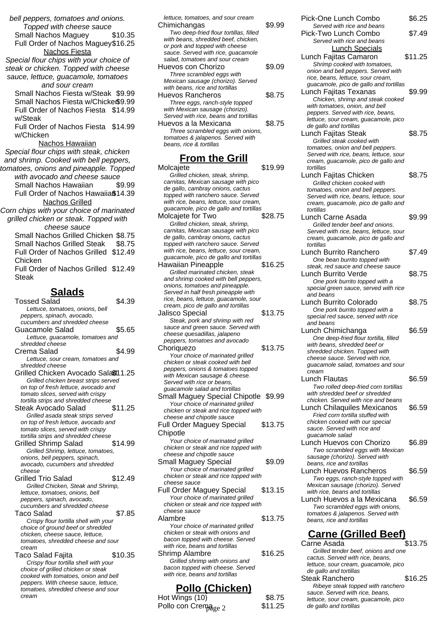bell peppers, tomatoes and onions. Topped with cheese sauce Small Nachos Maguey \$10.35 Full Order of Nachos Maguey\$16.25 Nachos Fiesta Special flour chips with your choice of steak or chicken. Topped with cheese sauce, lettuce, guacamole, tomatoes and sour cream Small Nachos Fiesta w/Steak \$9.99 Small Nachos Fiesta w/Chicker\$9.99 Full Order of Nachos Fiesta \$14.99 w/Steak Full Order of Nachos Fiesta \$14.99 w/Chicken Nachos Hawaiian Special flour chips with steak, chicken and shrimp. Cooked with bell peppers, tomatoes, onions and pineapple. Topped with avocado and cheese sauce Small Nachos Hawaiian \$9.99 Full Order of Nachos Hawaiia\$14.39 Nachos Grilled Corn chips with your choice of marinated grilled chicken or steak. Topped with cheese sauce

Small Nachos Grilled Chicken \$8.75 Small Nachos Grilled Steak \$8.75 Full Order of Nachos Grilled \$12.49 Chicken Full Order of Nachos Grilled \$12.49

Steak

# **Salads**

Tossed Salad \$4.39 Lettuce, tomatoes, onions, bell peppers, spinach, avocado, cucumbers and shredded cheese Guacamole Salad \$5.65 Lettuce, guacamole, tomatoes and shredded cheese Crema Salad \$4.99 Lettuce, sour cream, tomatoes and shredded cheese Grilled Chicken Avocado Salad\$11.25 Grilled chicken breast strips served on top of fresh lettuce, avocado and tomato slices, served with crispy tortilla strips and shredded cheese Steak Avocado Salad \$11.25 Grilled asada steak strips served on top of fresh lettuce, avocado and tomato slices, served with crispy tortilla strips and shredded cheese Grilled Shrimp Salad \$14.99 Grilled Shrimp, lettuce, tomatoes, onions, bell peppers, spinach, avocado, cucumbers and shredded cheese Grilled Trio Salad \$12.49 Grilled Chicken, Steak and Shrimp, lettuce, tomatoes, onions, bell peppers, spinach, avocado, cucumbers and shredded cheese Taco Salad \$7.85 Crispy flour tortilla shell with your choice of ground beef or shredded chicken, cheese sauce, lettuce, tomatoes, shredded cheese and sour cream Taco Salad Fajita  $$10.35$ Crispy flour tortilla shell with your choice of grilled chicken or steak cooked with tomatoes, onion and bell peppers. With cheese sauce, lettuce, tomatoes, shredded cheese and sour cream

| lettuce, tomatoes, and sour cream<br>Chimichangas<br>Two deep-fried flour tortillas, filled<br>with beans, shredded beef, chicken,<br>or pork and topped with cheese | \$9.99 |
|----------------------------------------------------------------------------------------------------------------------------------------------------------------------|--------|
| sauce. Served with rice, guacamole                                                                                                                                   |        |
| salad, tomatoes and sour cream                                                                                                                                       |        |
| Huevos con Chorizo                                                                                                                                                   | \$9.09 |
| Three scrambled eggs with                                                                                                                                            |        |
| Mexican sausage (chorizo). Served                                                                                                                                    |        |
| with beans, rice and tortillas                                                                                                                                       |        |
| Huevos Rancheros                                                                                                                                                     | \$8.75 |
| Three eggs, ranch-style topped                                                                                                                                       |        |
| with Mexican sausage (chorizo).                                                                                                                                      |        |
| Served with rice, beans and tortillas                                                                                                                                |        |
| Huevos a la Mexicana                                                                                                                                                 | \$8.75 |
| Three scrambled eggs with onions,                                                                                                                                    |        |
| tomatoes & jalapenos. Served with                                                                                                                                    |        |
| beans, rice & tortillas                                                                                                                                              |        |
|                                                                                                                                                                      |        |

#### **From the Grill**

| <u>From the Grill</u>                                                   |         |
|-------------------------------------------------------------------------|---------|
| Molcajete                                                               | \$19.99 |
| Grilled chicken, steak, shrimp,                                         |         |
| carnitas, Mexican sausage with pico                                     |         |
| de gallo, cambray onions, cactus                                        |         |
| topped with ranchero sauce. Served                                      |         |
| with rice, beans, lettuce, sour cream,                                  |         |
| guacamole, pico de gallo and tortillas                                  |         |
| Molcajete for Two                                                       | \$28.75 |
| Grilled chicken, steak, shrimp,                                         |         |
| carnitas, Mexican sausage with pico<br>de gallo, cambray onions, cactus |         |
| topped with ranchero sauce. Served                                      |         |
| with rice, beans, lettuce, sour cream,                                  |         |
| guacamole, pico de gallo and tortillas                                  |         |
| Hawaiian Pineapple                                                      | \$16.25 |
| Grilled marinated chicken, steak                                        |         |
| and shrimp cooked with bell peppers,                                    |         |
| onions, tomatoes and pineapple.                                         |         |
| Served in half fresh pineapple with                                     |         |
| rice, beans, lettuce, guacamole, sour                                   |         |
| cream, pico de gallo and tortillas                                      |         |
| <b>Jalisco Special</b>                                                  | \$13.75 |
| Steak, pork and shrimp with red                                         |         |
| sauce and green sauce. Served with                                      |         |
| cheese quesadillas, jalapeno<br>peppers, tomatoes and avocado           |         |
| Choriquezo                                                              | \$13.75 |
| Your choice of marinated grilled                                        |         |
| chicken or steak cooked with bell                                       |         |
| peppers, onions & tomatoes topped                                       |         |
| with Mexican sausage & cheese.                                          |         |
| Served with rice or beans,                                              |         |
| guacamole salad and tortillas                                           |         |
| Small Maguey Special Chipotle \$9.99                                    |         |
| Your choice of marinated grilled                                        |         |
| chicken or steak and rice topped with                                   |         |
| cheese and chipotle sauce                                               |         |
| <b>Full Order Maguey Special</b>                                        | \$13.75 |
| Chipotle                                                                |         |
| Your choice of marinated grilled                                        |         |
| chicken or steak and rice topped with                                   |         |
| cheese and chipotle sauce                                               |         |
| Small Maguey Special                                                    | \$9.09  |
| Your choice of marinated grilled                                        |         |
| chicken or steak and rice topped with<br>cheese sauce                   |         |
| <b>Full Order Maguey Special</b>                                        | \$13.15 |
| Your choice of marinated grilled                                        |         |
| chicken or steak and rice topped with                                   |         |
| cheese sauce                                                            |         |
| Alambre                                                                 | \$13.75 |
| Your choice of marinated grilled                                        |         |
| chicken or steak with onions and                                        |         |
| bacon topped with cheese. Served                                        |         |
| with rice, beans and tortillas                                          |         |
| <b>Shrimp Alambre</b>                                                   | \$16.25 |
| Grilled shrimp with onions and                                          |         |
| bacon topped with cheese. Served                                        |         |
| with rice, beans and tortillas                                          |         |

## **Pollo (Chicken)**

| Hot Wings (10)      | \$8.75  | <u>ouaoo, oo, you mari</u><br>lettuce, sour cream, |
|---------------------|---------|----------------------------------------------------|
| Pollo con Cremage 2 | \$11.25 | de gallo and tortillas                             |
|                     |         |                                                    |

| Pick-One Lunch Combo                                                        | \$6.25  |
|-----------------------------------------------------------------------------|---------|
| Served with rice and beans<br>Pick-Two Lunch Combo                          | \$7.49  |
| Served with rice and beans                                                  |         |
| <b>Lunch Specials</b>                                                       |         |
| Lunch Fajitas Camaron                                                       | \$11.25 |
| Shrimp cooked with tomatoes,<br>onion and bell peppers. Served with         |         |
| rice, beans, lettuce, sour cream,                                           |         |
| guacamole, pico de gallo and tortillas                                      |         |
| <b>Lunch Fajitas Texanas</b><br>Chicken, shrimp and steak cooked            | \$9.99  |
| with tomatoes, onion, and bell                                              |         |
| peppers. Served with rice, beans,                                           |         |
| lettuce, sour cream, guacamole, pico<br>de gallo and tortillas              |         |
| Lunch Fajitas Steak                                                         | \$8.75  |
| Grilled steak cooked with                                                   |         |
| tomatoes, onion and bell peppers.<br>Served with rice, beans, lettuce, sour |         |
| cream, guacamole, pico de gallo and                                         |         |
| tortillas                                                                   |         |
| Lunch Fajitas Chicken<br>Grilled chicken cooked with                        | \$8.75  |
| tomatoes, onion and bell peppers.                                           |         |
| Served with rice, beans, lettuce, sour                                      |         |
| cream, guacamole, pico de gallo and<br>tortillas                            |         |
| Lunch Carne Asada                                                           | \$9.99  |
| Grilled tender beef and onions.                                             |         |
| Served with rice, beans, lettuce, sour                                      |         |
| cream, guacamole, pico de gallo and<br>tortillas                            |         |
| Lunch Burrito Ranchero                                                      | \$7.49  |
| One bean burrito topped with                                                |         |
| steak, red sauce and cheese sauce<br>Lunch Burrito Verde                    | \$8.75  |
| One pork burrito topped with a                                              |         |
| special green sauce, served with rice                                       |         |
| and beans<br>Lunch Burrito Colorado                                         | \$8.75  |
| One pork burrito topped with a                                              |         |
|                                                                             |         |
| special red sauce, served with rice                                         |         |
| and beans                                                                   |         |
| Lunch Chimichanga                                                           | \$6.59  |
| One deep-fried flour tortilla, filled<br>with beans, shredded beef or       |         |
| shredded chicken. Topped with                                               |         |
| cheese sauce. Served with rice,<br>guacamole salad, tomatoes and sour       |         |
| cream                                                                       |         |
| Lunch Flautas                                                               | \$6.59  |
| Two rolled deep-fried corn tortillas<br>with shredded beef or shredded      |         |
| chicken. Served with rice and beans                                         |         |
| Lunch Chilaquiles Mexicanos                                                 | \$6.59  |
| Fried corn tortilla stuffed with<br>chicken cooked with our special         |         |
| sauce. Served with rice and                                                 |         |
| guacamole salad                                                             |         |
| Lunch Huevos con Chorizo                                                    | \$6.89  |
| Two scrambled eggs with Mexican<br>sausage (chorizo). Served with           |         |
| beans, rice and tortillas                                                   |         |
| Lunch Huevos Rancheros                                                      | \$6.59  |
| Two eggs, ranch-style topped with<br>Mexican sausage (chorizo). Served      |         |
| with rice, beans and tortillas                                              |         |
| Lunch Huevos a la Mexicana                                                  | \$6.59  |
| Two scrambled eggs with onions,<br>tomatoes & jalapenos. Served with        |         |
| beans, rice and tortillas                                                   |         |
|                                                                             |         |
| <b>Carne (Grilled Beef)</b><br>Carne Asada                                  | \$13.75 |
| Grilled tender beef, onions and one                                         |         |
| cactus. Served with rice, beans,<br>lettuce, sour cream, guacamole, pico    |         |

| de gallo and tortillas               |         |
|--------------------------------------|---------|
| Steak Ranchero                       | \$16.25 |
| Ribeye steak topped with ranchero    |         |
| sauce. Served with rice, beans,      |         |
| lettuce, sour cream, guacamole, pico |         |
| de gallo and tortillas               |         |
|                                      |         |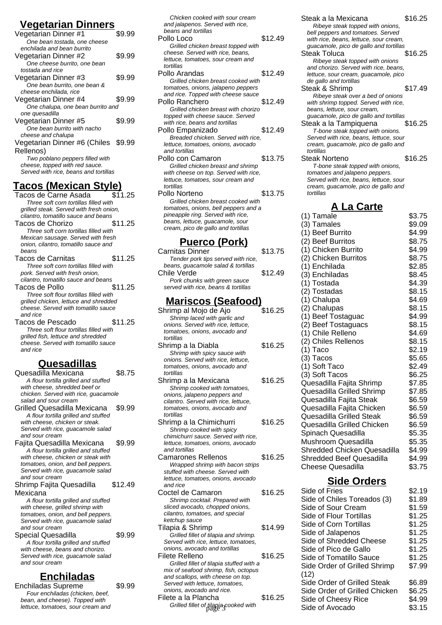# **Vegetarian Dinners**

| <b>1988 - 1999 - 1999 - 1999 - 1999 - 1999 - 1999 - 1999 - 1999</b><br>ט וטוווש |        |
|---------------------------------------------------------------------------------|--------|
| Vegetarian Dinner #1                                                            | \$9.99 |
| One bean tostada, one cheese                                                    |        |
| enchilada and bean burrito                                                      |        |
| Vegetarian Dinner #2                                                            | \$9.99 |
| One cheese burrito, one bean                                                    |        |
| tostada and rice                                                                |        |
| Vegetarian Dinner #3                                                            | \$9.99 |
| One bean burrito, one bean &                                                    |        |
| cheese enchilada, rice                                                          |        |
| Vegetarian Dinner #4                                                            | \$9.99 |
| One chalupa, one bean burrito and                                               |        |
| one quesadilla                                                                  |        |
| Vegetarian Dinner #5                                                            | \$9.99 |
| One bean burrito with nacho                                                     |        |
| cheese and chalupa                                                              |        |
| Vegetarian Dinner #6 (Chiles \$9.99                                             |        |
| Rellenos)                                                                       |        |
| Two poblano peppers filled with                                                 |        |
| cheese, topped with red sauce.                                                  |        |
| Served with rice, beans and tortillas                                           |        |
|                                                                                 |        |

# **Tacos (Mexican Style)**

- Tacos de Carne Asada \$11.25 Three soft corn tortillas filled with grilled steak. Served with fresh onion, cilantro, tomatillo sauce and beans Tacos de Chorizo  $$11.25$ Three soft corn tortillas filled with Mexican sausage. Served with fresh onion, cilantro, tomatillo sauce and beans Tacos de Carnitas \$11.25 Three soft corn tortillas filled with
- pork. Served with fresh onion, cilantro, tomatillo sauce and beans Tacos de Pollo **\$11.25**
- Three soft flour tortillas filled with grilled chicken, lettuce and shredded cheese. Served with tomatillo sauce and rice Tacos de Pescado  $$11.25$
- Three soft flour tortillas filled with grilled fish, lettuce and shredded cheese. Served with tomatillo sauce and rice

#### **Quesadillas**

Quesadilla Mexicana \$8.75 A flour tortilla grilled and stuffed with cheese, shredded beef or chicken. Served with rice, guacamole salad and sour cream Grilled Quesadilla Mexicana \$9.99 A flour tortilla grilled and stuffed with cheese, chicken or steak. Served with rice, guacamole salad and sour cream Fajita Quesadilla Mexicana \$9.99 A flour tortilla grilled and stuffed with cheese, chicken or steak with tomatoes, onion, and bell peppers. Served with rice, guacamole salad and sour cream Shrimp Fajita Quesadilla Mexicana \$12.49 A flour tortilla grilled and stuffed with cheese, grilled shrimp with tomatoes, onion, and bell peppers. Served with rice, guacamole salad and sour cream Special Quesadilla  $$9.99$ A flour tortilla grilled and stuffed with cheese, beans and chorizo. Served with rice, guacamole salad and sour cream **Enchiladas** Enchiladas Supreme \$9.99

| Chicken cooked with sour cream<br>and jalapenos. Served with rice,<br>beans and tortillas<br>Pollo Loco<br>Grilled chicken breast topped with<br>cheese. Served with rice, beans,<br>lettuce, tomatoes, sour cream and<br>tortillas | \$12.49 |
|-------------------------------------------------------------------------------------------------------------------------------------------------------------------------------------------------------------------------------------|---------|
| Pollo Arandas                                                                                                                                                                                                                       | \$12.49 |
| Grilled chicken breast cooked with<br>tomatoes, onions, jalapeno peppers<br>and rice. Topped with cheese sauce                                                                                                                      |         |
| Pollo Ranchero                                                                                                                                                                                                                      | \$12.49 |
| Grilled chicken breast with chorizo<br>topped with cheese sauce. Served<br>with rice, beans and tortillas                                                                                                                           |         |
| Pollo Empanizado                                                                                                                                                                                                                    | \$12.49 |
| Breaded chicken. Served with rice.<br>lettuce, tomatoes, onions, avocado<br>and tortillas                                                                                                                                           |         |
| Pollo con Camaron                                                                                                                                                                                                                   | \$13.75 |
| Grilled chicken breast and shrimp<br>with cheese on top. Served with rice,<br>lettuce, tomatoes, sour cream and<br>tortillas                                                                                                        |         |
| Pollo Norteno                                                                                                                                                                                                                       | \$13.75 |
| Grilled chicken breast cooked with<br>tomatoes, onions, bell peppers and a<br>pineapple ring. Served with rice,<br>beans, lettuce, guacamole, sour<br>cream, pico de gallo and tortillas                                            |         |

## **Puerco (Pork)**

| Carnitas Dinner                     | \$13.75 |
|-------------------------------------|---------|
| Tender pork tips served with rice,  |         |
| beans, guacamole salad & tortillas  |         |
| Chile Verde                         | \$12.49 |
| Pork chunks with green sauce        |         |
| served with rice, beans & tortillas |         |
|                                     |         |

#### **Mariscos (Seafood)**

Shrimp al Moio de Ajo \$16.25 Shrimp laced with garlic and onions. Served with rice, lettuce, tomatoes, onions, avocado and tortillas Shrimp a la Diabla  $$16.25$ Shrimp with spicy sauce with onions. Served with rice, lettuce, tomatoes, onions, avocado and tortillas Shrimp a la Mexicana  $$16.25$ Shrimp cooked with tomatoes, onions, jalapeno peppers and cilantro. Served with rice, lettuce, tomatoes, onions, avocado and tortillas Shrimp a la Chimichurri \$16.25 Shrimp cooked with spicy chimichurri sauce. Served with rice, lettuce, tomatoes, onions, avocado and tortillas Camarones Rellenos  $$16.25$ Wrapped shrimp with bacon strips stuffed with cheese. Served with lettuce, tomatoes, onions, avocado and rice Coctel de Camaron \$16.25 Shrimp cocktail. Prepared with sliced avocado, chopped onions. cilantro, tomatoes, and special ketchup sauce Tilapia & Shrimp \$14.99 Grilled fillet of tilapia and shrimp. Served with rice, lettuce, tomatoes, onions, avocado and tortillas Filete Relleno  $$16.25$ Grilled fillet of tilapia stuffed with a mix of seafood shrimp, fish, octopus and scallops, with cheese on top. Served with lettuce, tomatoes, onions, avocado and rice. Filete a la Plancha  $$16.25$ 

| Steak a la Mexicana                                                        | \$16.25          |
|----------------------------------------------------------------------------|------------------|
| Ribeye steak topped with onions,<br>bell peppers and tomatoes. Served      |                  |
| with rice, beans, lettuce, sour cream,                                     |                  |
| guacamole, pico de gallo and tortillas                                     |                  |
| Steak Toluca                                                               | \$16.25          |
| Ribeye steak topped with onions<br>and chorizo. Served with rice, beans,   |                  |
| lettuce, sour cream, guacamole, pico                                       |                  |
| de gallo and tortillas                                                     |                  |
| Steak & Shrimp                                                             | \$17.49          |
| Ribeye steak over a bed of onions<br>with shrimp topped. Served with rice, |                  |
| beans, lettuce, sour cream,                                                |                  |
| guacamole, pico de gallo and tortillas                                     | \$16.25          |
| Steak a la Tampiquena<br>T-bone steak topped with onions.                  |                  |
| Served with rice, beans, lettuce, sour                                     |                  |
| cream, guacamole, pico de gallo and                                        |                  |
| tortillas<br>Steak Norteno                                                 | \$16.25          |
| T-bone steak topped with onions,                                           |                  |
| tomatoes and jalapeno peppers.                                             |                  |
| Served with rice, beans, lettuce, sour                                     |                  |
| cream, guacamole, pico de gallo and<br>tortillas                           |                  |
| <b>A La Carte</b>                                                          |                  |
| (1) Tamale                                                                 | \$3.75           |
| (3) Tamales                                                                | \$9.09           |
| (1) Beef Burrito                                                           | \$4.99           |
| (2) Beef Burritos                                                          | \$8.75           |
| (1) Chicken Burrito                                                        | \$4.99           |
| (2) Chicken Burritos                                                       | \$8.75           |
| (1) Enchilada                                                              | \$2.85           |
| (3) Enchiladas                                                             | \$8.45           |
| (1) Tostada                                                                | \$4.39           |
| (2) Tostadas                                                               | \$8.15           |
| (1) Chalupa                                                                | \$4.69           |
| (2) Chalupas                                                               | \$8.15           |
| (1) Beef Tostaguac<br>(2) Beef Tostaguacs                                  | \$4.99<br>\$8.15 |
| (1) Chile Relleno                                                          | \$4.69           |
|                                                                            | \$8.15           |
| (2) Chiles Rellenos<br>(1) Taco                                            | \$2.19           |
| (3) Tacos                                                                  | \$5.65           |
| (1) Soft Taco                                                              | \$2.49           |
| (3) Soft Tacos                                                             | \$6.25           |
| Quesadilla Fajita Shrimp                                                   | \$7.85           |
| Quesadilla Grilled Shrimp                                                  | \$7.85           |
| Quesadilla Fajita Steak                                                    | \$6.59           |
| Quesadilla Fajita Chicken                                                  | \$6.59           |
| Quesadilla Grilled Steak                                                   | \$6.59           |
| Quesadilla Grilled Chicken<br>Spinach Quesadilla                           | \$6.59<br>\$5.35 |
| Mushroom Quesadilla                                                        | \$5.35           |
| Shredded Chicken Quesadilla                                                | \$4.99           |
| Shredded Beef Quesadilla                                                   | \$4.99           |
| <b>Cheese Quesadilla</b>                                                   | \$3.75           |

# **Side Orders**

| tel de Camaron:                                                        | \$16.25 | Side of Fries                 | \$2.19 |
|------------------------------------------------------------------------|---------|-------------------------------|--------|
| Shrimp cocktail. Prepared with                                         |         | Side of Chiles Toreados (3)   | \$1.89 |
| ced avocado, chopped onions,                                           |         | Side of Sour Cream            | \$1.59 |
| antro, tomatoes, and special                                           |         | Side of Flour Tortillas       | \$1.25 |
| tchup sauce<br>pia & Shrimp                                            | \$14.99 | Side of Corn Tortillas        | \$1.25 |
| Grilled fillet of tilapia and shrimp.                                  |         | Side of Jalapenos             | \$1.25 |
| erved with rice, lettuce, tomatoes,                                    |         | Side of Shredded Cheese       | \$1.25 |
| iions, avocado and tortillas                                           |         | Side of Pico de Gallo         | \$1.25 |
| te Relleno                                                             | \$16.25 | Side of Tomatillo Sauce       | \$1.25 |
| Grilled fillet of tilapia stuffed with a                               |         | Side Order of Grilled Shrimp  | \$7.99 |
| ix of seafood shrimp, fish, octopus<br>d scallops, with cheese on top. |         | (12)                          |        |
| erved with lettuce, tomatoes,                                          |         | Side Order of Grilled Steak   | \$6.89 |
| iions, avocado and rice.                                               |         | Side Order of Grilled Chicken | \$6.25 |
| te a la Plancha                                                        | \$16.25 | Side of Cheesy Rice           | \$4.99 |
| Grilled fillet of tilapia-cooked with                                  |         | Side of Avocado               | \$3.15 |
|                                                                        |         |                               |        |

Four enchiladas (chicken, beef, bean, and cheese). Topped with lettuce, tomatoes, sour cream and